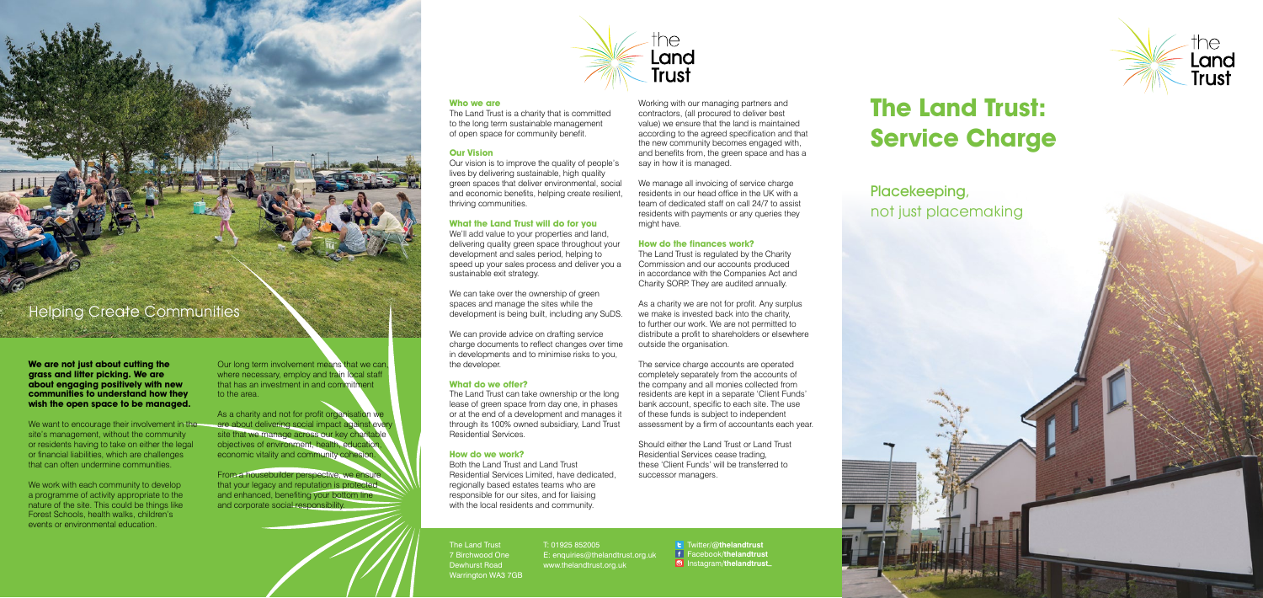# **The Land Trust: Service Charge**

Placekeeping, not just placemaking

Helping Create Communities

**Who we are**

The Land Trust is a charity that is committed to the long term sustainable management of open space for community benefit.

### **Our Vision**

Our vision is to improve the quality of people's lives by delivering sustainable, high quality green spaces that deliver environmental, social and economic benefits, helping create resilient, thriving communities.

We can take over the ownership of green spaces and manage the sites while the development is being built, including any SuDS.

### **What the Land Trust will do for you**

We'll add value to your properties and land, delivering quality green space throughout your development and sales period, helping to speed up your sales process and deliver you a sustainable exit strategy.

Working with our managing partners and contractors, (all procured to deliver best value) we ensure that the land is maintained according to the agreed specification and that the new community becomes engaged with, and benefits from, the green space and has a say in how it is managed.

We can provide advice on drafting service charge documents to reflect changes over time in developments and to minimise risks to you, the developer.

### **What do we offer?**

The Land Trust can take ownership or the long lease of green space from day one, in phases or at the end of a development and manages it through its 100% owned subsidiary, Land Trust Residential Services.

### **How do we work?**

The service charge accounts are operated completely separately from the accounts of the company and all monies collected from residents are kept in a separate 'Client Funds' bank account, specific to each site. The use of these funds is subject to independent assessment by a firm of accountants each year.

Should either the Land Trust or Land Trust Residential Services cease trading, these 'Client Funds' will be transferred to successor managers.

Both the Land Trust and Land Trust Residential Services Limited, have dedicated, regionally based estates teams who are responsible for our sites, and for liaising with the local residents and community.

The Land Trust 7 Birchwood One Dewhurst Road Warrington WA3 7GB

**t** Twitter/@thelandtrust Facebook**/thelandtrust** Instagram**/thelandtrust\_**



Our long term involvement means that we can. where necessary, employ and train local staff that has an investment in and commitment to the area.

As a charity and not for profit organisation we are about delivering social impact against every site that we manage across our key charitable objectives of environment, health, education, economic vitality and community cohesion.

We manage all invoicing of service charge residents in our head office in the UK with a team of dedicated staff on call 24/7 to assist residents with payments or any queries they might have.

#### **How do the finances work?**

Land

**Trust** 

We want to encourage their involvement in the site's management, without the community or residents having to take on either the legal or financial liabilities, which are challenges that can often undermine communities.

The Land Trust is regulated by the Charity Commission and our accounts produced in accordance with the Companies Act and Charity SORP. They are audited annually.

We work with each community to develop a programme of activity appropriate to the nature of the site. This could be things like Forest Schools, health walks, children's events or environmental education.

As a charity we are not for profit. Any surplus we make is invested back into the charity. to further our work. We are not permitted to distribute a profit to shareholders or elsewhere outside the organisation.

### T: 01925 852005

E: enquiries@thelandtrust.org.uk www.thelandtrust.org.uk

From a housebuilder perspective, we ensure that your legacy and reputation is protected and enhanced, benefiting your bottom line and corporate social responsibility.

**We are not just about cutting the grass and litter picking. We are about engaging positively with new communities to understand how they wish the open space to be managed.**